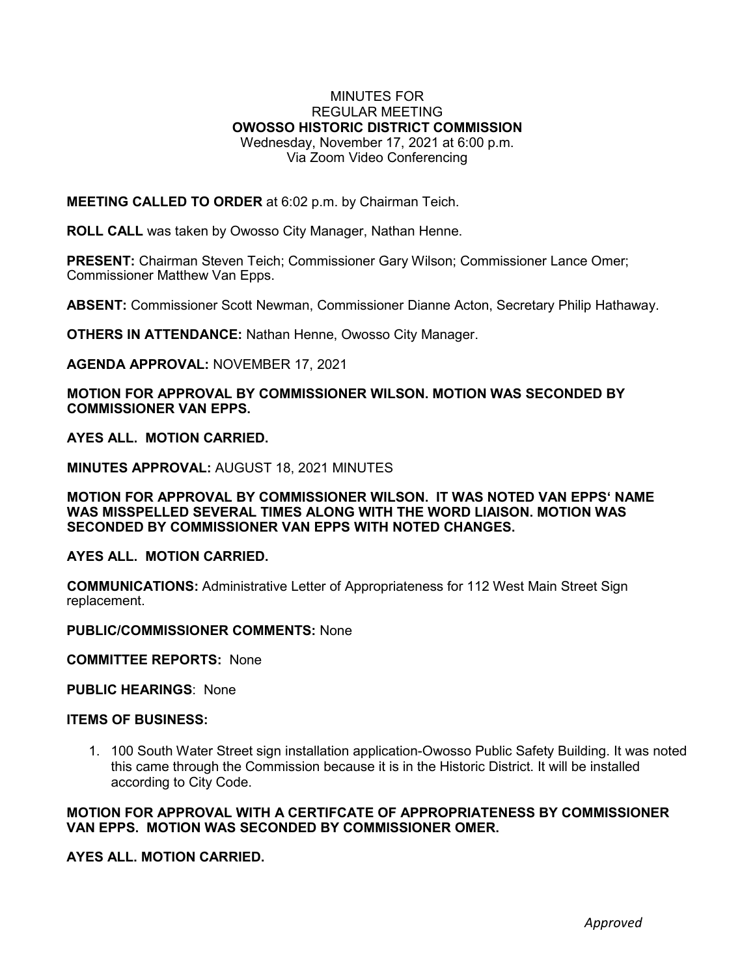## MINUTES FOR REGULAR MEETING **OWOSSO HISTORIC DISTRICT COMMISSION** Wednesday, November 17, 2021 at 6:00 p.m. Via Zoom Video Conferencing

**MEETING CALLED TO ORDER** at 6:02 p.m. by Chairman Teich.

**ROLL CALL** was taken by Owosso City Manager, Nathan Henne.

**PRESENT:** Chairman Steven Teich; Commissioner Gary Wilson; Commissioner Lance Omer; Commissioner Matthew Van Epps.

**ABSENT:** Commissioner Scott Newman, Commissioner Dianne Acton, Secretary Philip Hathaway.

**OTHERS IN ATTENDANCE:** Nathan Henne, Owosso City Manager.

**AGENDA APPROVAL:** NOVEMBER 17, 2021

**MOTION FOR APPROVAL BY COMMISSIONER WILSON. MOTION WAS SECONDED BY COMMISSIONER VAN EPPS.**

**AYES ALL. MOTION CARRIED.**

**MINUTES APPROVAL:** AUGUST 18, 2021 MINUTES

**MOTION FOR APPROVAL BY COMMISSIONER WILSON. IT WAS NOTED VAN EPPS' NAME WAS MISSPELLED SEVERAL TIMES ALONG WITH THE WORD LIAISON. MOTION WAS SECONDED BY COMMISSIONER VAN EPPS WITH NOTED CHANGES.**

**AYES ALL. MOTION CARRIED.**

**COMMUNICATIONS:** Administrative Letter of Appropriateness for 112 West Main Street Sign replacement.

**PUBLIC/COMMISSIONER COMMENTS:** None

**COMMITTEE REPORTS:** None

**PUBLIC HEARINGS**: None

## **ITEMS OF BUSINESS:**

1. 100 South Water Street sign installation application-Owosso Public Safety Building. It was noted this came through the Commission because it is in the Historic District. It will be installed according to City Code.

**MOTION FOR APPROVAL WITH A CERTIFCATE OF APPROPRIATENESS BY COMMISSIONER VAN EPPS. MOTION WAS SECONDED BY COMMISSIONER OMER.**

**AYES ALL. MOTION CARRIED.**